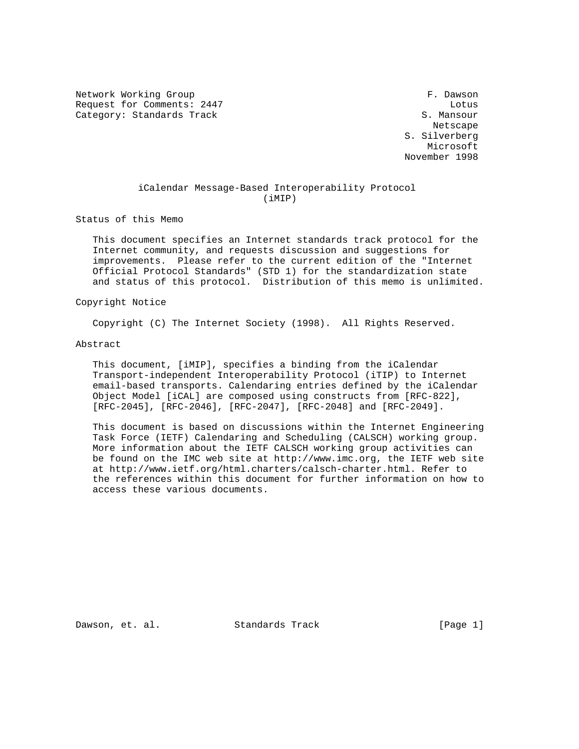Network Working Group extension of the set of the set of the set of the set of the set of the set of the set of the set of the set of the set of the set of the set of the set of the set of the set of the set of the set of Request for Comments: 2447 Lotus Category: Standards Track S. Mansour

 Netscape S. Silverberg Microsoft November 1998

# iCalendar Message-Based Interoperability Protocol (iMIP)

Status of this Memo

 This document specifies an Internet standards track protocol for the Internet community, and requests discussion and suggestions for improvements. Please refer to the current edition of the "Internet Official Protocol Standards" (STD 1) for the standardization state and status of this protocol. Distribution of this memo is unlimited.

Copyright Notice

Copyright (C) The Internet Society (1998). All Rights Reserved.

#### Abstract

 This document, [iMIP], specifies a binding from the iCalendar Transport-independent Interoperability Protocol (iTIP) to Internet email-based transports. Calendaring entries defined by the iCalendar Object Model [iCAL] are composed using constructs from [RFC-822], [RFC-2045], [RFC-2046], [RFC-2047], [RFC-2048] and [RFC-2049].

 This document is based on discussions within the Internet Engineering Task Force (IETF) Calendaring and Scheduling (CALSCH) working group. More information about the IETF CALSCH working group activities can be found on the IMC web site at http://www.imc.org, the IETF web site at http://www.ietf.org/html.charters/calsch-charter.html. Refer to the references within this document for further information on how to access these various documents.

Dawson, et. al. Standards Track [Page 1]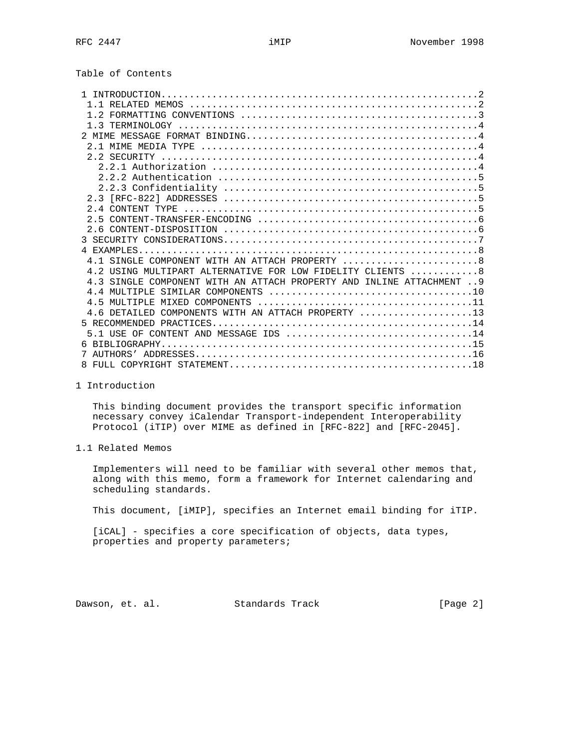Table of Contents

| 4.1 SINGLE COMPONENT WITH AN ATTACH PROPERTY 8                        |
|-----------------------------------------------------------------------|
| 4.2 USING MULTIPART ALTERNATIVE FOR LOW FIDELITY CLIENTS 8            |
| 4.3 SINGLE COMPONENT WITH AN ATTACH PROPERTY AND INLINE ATTACHMENT  9 |
|                                                                       |
|                                                                       |
| 4.6 DETAILED COMPONENTS WITH AN ATTACH PROPERTY 13                    |
|                                                                       |
| $5.1$ USE OF CONTENT AND MESSAGE IDS 14                               |
|                                                                       |
|                                                                       |
|                                                                       |

1 Introduction

 This binding document provides the transport specific information necessary convey iCalendar Transport-independent Interoperability Protocol (iTIP) over MIME as defined in [RFC-822] and [RFC-2045].

1.1 Related Memos

 Implementers will need to be familiar with several other memos that, along with this memo, form a framework for Internet calendaring and scheduling standards.

This document, [iMIP], specifies an Internet email binding for iTIP.

[iCAL] - specifies a core specification of objects, data types, properties and property parameters;

Dawson, et. al. Standards Track [Page 2]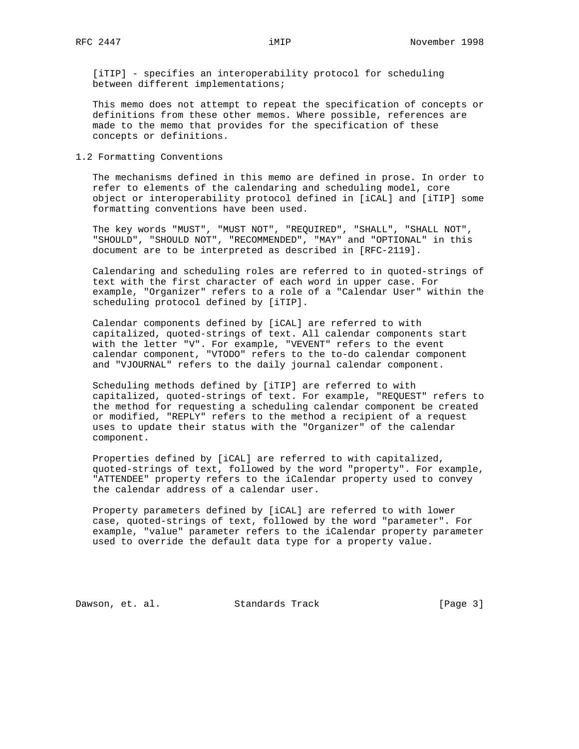[iTIP] - specifies an interoperability protocol for scheduling between different implementations;

 This memo does not attempt to repeat the specification of concepts or definitions from these other memos. Where possible, references are made to the memo that provides for the specification of these concepts or definitions.

1.2 Formatting Conventions

 The mechanisms defined in this memo are defined in prose. In order to refer to elements of the calendaring and scheduling model, core object or interoperability protocol defined in [iCAL] and [iTIP] some formatting conventions have been used.

 The key words "MUST", "MUST NOT", "REQUIRED", "SHALL", "SHALL NOT", "SHOULD", "SHOULD NOT", "RECOMMENDED", "MAY" and "OPTIONAL" in this document are to be interpreted as described in [RFC-2119].

 Calendaring and scheduling roles are referred to in quoted-strings of text with the first character of each word in upper case. For example, "Organizer" refers to a role of a "Calendar User" within the scheduling protocol defined by [iTIP].

 Calendar components defined by [iCAL] are referred to with capitalized, quoted-strings of text. All calendar components start with the letter "V". For example, "VEVENT" refers to the event calendar component, "VTODO" refers to the to-do calendar component and "VJOURNAL" refers to the daily journal calendar component.

 Scheduling methods defined by [iTIP] are referred to with capitalized, quoted-strings of text. For example, "REQUEST" refers to the method for requesting a scheduling calendar component be created or modified, "REPLY" refers to the method a recipient of a request uses to update their status with the "Organizer" of the calendar component.

 Properties defined by [iCAL] are referred to with capitalized, quoted-strings of text, followed by the word "property". For example, "ATTENDEE" property refers to the iCalendar property used to convey the calendar address of a calendar user.

 Property parameters defined by [iCAL] are referred to with lower case, quoted-strings of text, followed by the word "parameter". For example, "value" parameter refers to the iCalendar property parameter used to override the default data type for a property value.

Dawson, et. al. Standards Track [Page 3]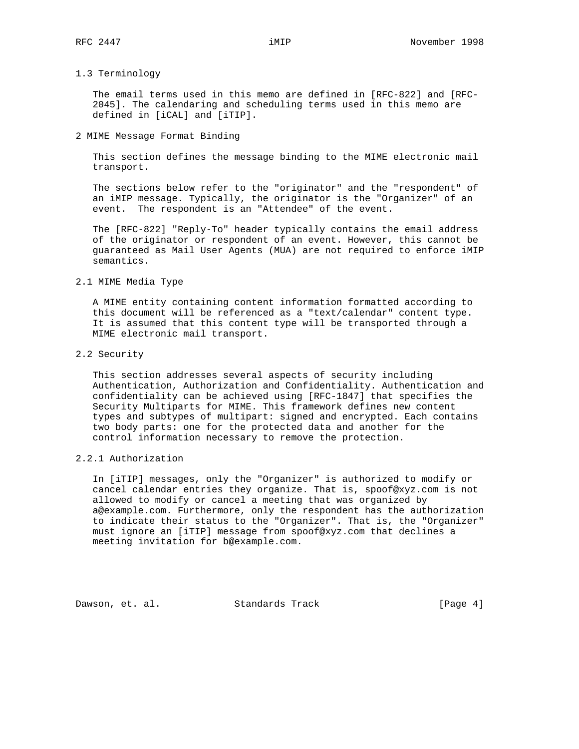#### 1.3 Terminology

 The email terms used in this memo are defined in [RFC-822] and [RFC- 2045]. The calendaring and scheduling terms used in this memo are defined in [iCAL] and [iTIP].

2 MIME Message Format Binding

 This section defines the message binding to the MIME electronic mail transport.

 The sections below refer to the "originator" and the "respondent" of an iMIP message. Typically, the originator is the "Organizer" of an event. The respondent is an "Attendee" of the event.

 The [RFC-822] "Reply-To" header typically contains the email address of the originator or respondent of an event. However, this cannot be guaranteed as Mail User Agents (MUA) are not required to enforce iMIP semantics.

2.1 MIME Media Type

 A MIME entity containing content information formatted according to this document will be referenced as a "text/calendar" content type. It is assumed that this content type will be transported through a MIME electronic mail transport.

2.2 Security

 This section addresses several aspects of security including Authentication, Authorization and Confidentiality. Authentication and confidentiality can be achieved using [RFC-1847] that specifies the Security Multiparts for MIME. This framework defines new content types and subtypes of multipart: signed and encrypted. Each contains two body parts: one for the protected data and another for the control information necessary to remove the protection.

2.2.1 Authorization

 In [iTIP] messages, only the "Organizer" is authorized to modify or cancel calendar entries they organize. That is, spoof@xyz.com is not allowed to modify or cancel a meeting that was organized by a@example.com. Furthermore, only the respondent has the authorization to indicate their status to the "Organizer". That is, the "Organizer" must ignore an [iTIP] message from spoof@xyz.com that declines a meeting invitation for b@example.com.

Dawson, et. al. Standards Track [Page 4]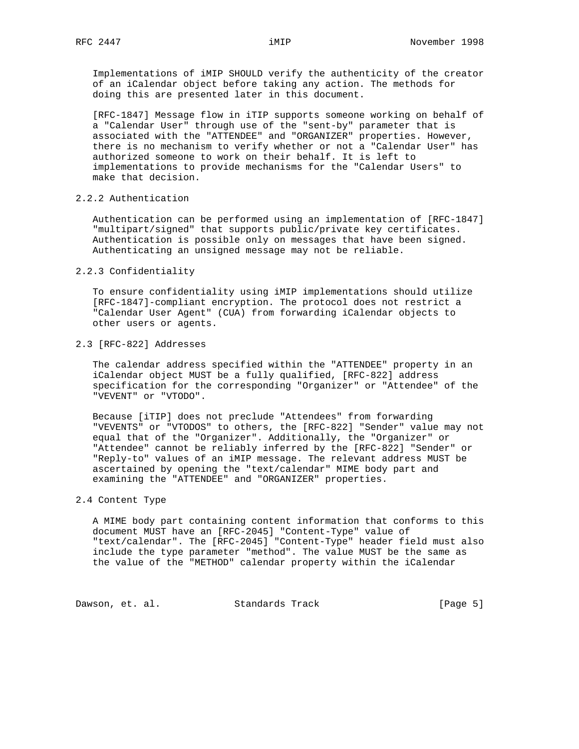Implementations of iMIP SHOULD verify the authenticity of the creator of an iCalendar object before taking any action. The methods for doing this are presented later in this document.

 [RFC-1847] Message flow in iTIP supports someone working on behalf of a "Calendar User" through use of the "sent-by" parameter that is associated with the "ATTENDEE" and "ORGANIZER" properties. However, there is no mechanism to verify whether or not a "Calendar User" has authorized someone to work on their behalf. It is left to implementations to provide mechanisms for the "Calendar Users" to make that decision.

#### 2.2.2 Authentication

 Authentication can be performed using an implementation of [RFC-1847] "multipart/signed" that supports public/private key certificates. Authentication is possible only on messages that have been signed. Authenticating an unsigned message may not be reliable.

## 2.2.3 Confidentiality

 To ensure confidentiality using iMIP implementations should utilize [RFC-1847]-compliant encryption. The protocol does not restrict a "Calendar User Agent" (CUA) from forwarding iCalendar objects to other users or agents.

#### 2.3 [RFC-822] Addresses

 The calendar address specified within the "ATTENDEE" property in an iCalendar object MUST be a fully qualified, [RFC-822] address specification for the corresponding "Organizer" or "Attendee" of the "VEVENT" or "VTODO".

 Because [iTIP] does not preclude "Attendees" from forwarding "VEVENTS" or "VTODOS" to others, the [RFC-822] "Sender" value may not equal that of the "Organizer". Additionally, the "Organizer" or "Attendee" cannot be reliably inferred by the [RFC-822] "Sender" or "Reply-to" values of an iMIP message. The relevant address MUST be ascertained by opening the "text/calendar" MIME body part and examining the "ATTENDEE" and "ORGANIZER" properties.

#### 2.4 Content Type

 A MIME body part containing content information that conforms to this document MUST have an [RFC-2045] "Content-Type" value of "text/calendar". The [RFC-2045] "Content-Type" header field must also include the type parameter "method". The value MUST be the same as the value of the "METHOD" calendar property within the iCalendar

Dawson, et. al. Standards Track [Page 5]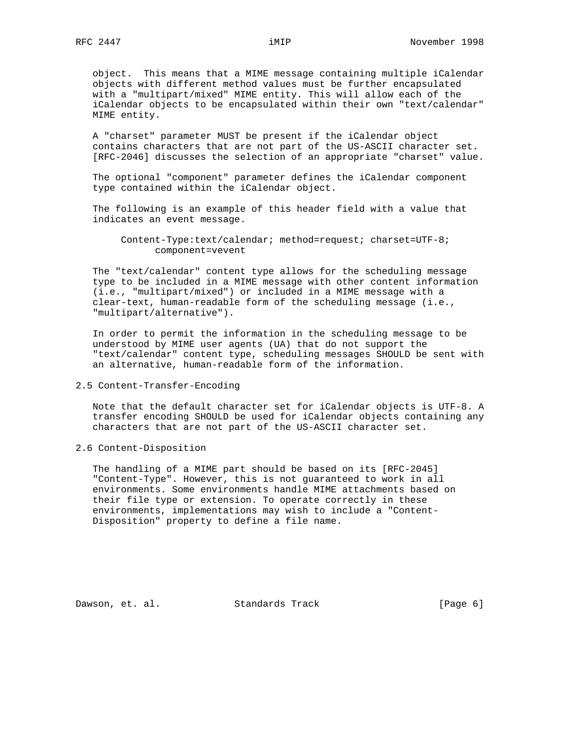object. This means that a MIME message containing multiple iCalendar objects with different method values must be further encapsulated with a "multipart/mixed" MIME entity. This will allow each of the iCalendar objects to be encapsulated within their own "text/calendar" MIME entity.

 A "charset" parameter MUST be present if the iCalendar object contains characters that are not part of the US-ASCII character set. [RFC-2046] discusses the selection of an appropriate "charset" value.

 The optional "component" parameter defines the iCalendar component type contained within the iCalendar object.

 The following is an example of this header field with a value that indicates an event message.

 Content-Type:text/calendar; method=request; charset=UTF-8; component=vevent

 The "text/calendar" content type allows for the scheduling message type to be included in a MIME message with other content information (i.e., "multipart/mixed") or included in a MIME message with a clear-text, human-readable form of the scheduling message (i.e., "multipart/alternative").

 In order to permit the information in the scheduling message to be understood by MIME user agents (UA) that do not support the "text/calendar" content type, scheduling messages SHOULD be sent with an alternative, human-readable form of the information.

2.5 Content-Transfer-Encoding

 Note that the default character set for iCalendar objects is UTF-8. A transfer encoding SHOULD be used for iCalendar objects containing any characters that are not part of the US-ASCII character set.

2.6 Content-Disposition

 The handling of a MIME part should be based on its [RFC-2045] "Content-Type". However, this is not guaranteed to work in all environments. Some environments handle MIME attachments based on their file type or extension. To operate correctly in these environments, implementations may wish to include a "Content- Disposition" property to define a file name.

Dawson, et. al. Standards Track [Page 6]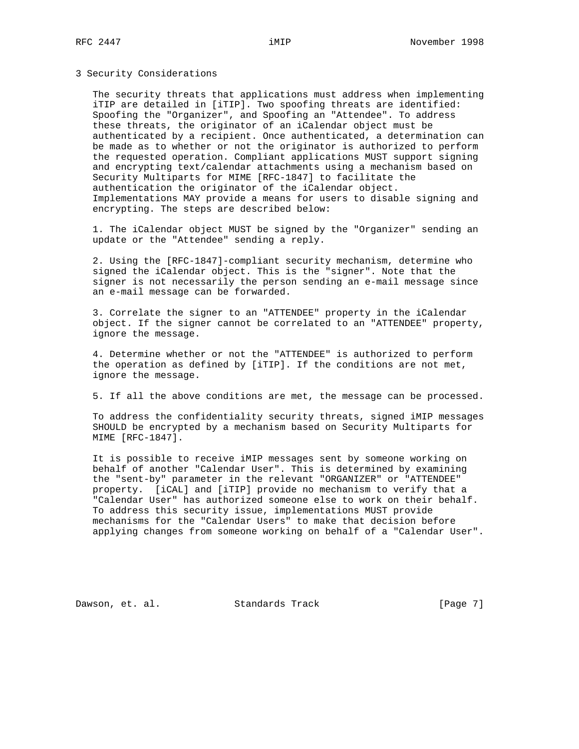3 Security Considerations

 The security threats that applications must address when implementing iTIP are detailed in [iTIP]. Two spoofing threats are identified: Spoofing the "Organizer", and Spoofing an "Attendee". To address these threats, the originator of an iCalendar object must be authenticated by a recipient. Once authenticated, a determination can be made as to whether or not the originator is authorized to perform the requested operation. Compliant applications MUST support signing and encrypting text/calendar attachments using a mechanism based on Security Multiparts for MIME [RFC-1847] to facilitate the authentication the originator of the iCalendar object. Implementations MAY provide a means for users to disable signing and encrypting. The steps are described below:

 1. The iCalendar object MUST be signed by the "Organizer" sending an update or the "Attendee" sending a reply.

 2. Using the [RFC-1847]-compliant security mechanism, determine who signed the iCalendar object. This is the "signer". Note that the signer is not necessarily the person sending an e-mail message since an e-mail message can be forwarded.

 3. Correlate the signer to an "ATTENDEE" property in the iCalendar object. If the signer cannot be correlated to an "ATTENDEE" property, ignore the message.

 4. Determine whether or not the "ATTENDEE" is authorized to perform the operation as defined by [iTIP]. If the conditions are not met, ignore the message.

5. If all the above conditions are met, the message can be processed.

 To address the confidentiality security threats, signed iMIP messages SHOULD be encrypted by a mechanism based on Security Multiparts for MIME [RFC-1847].

 It is possible to receive iMIP messages sent by someone working on behalf of another "Calendar User". This is determined by examining the "sent-by" parameter in the relevant "ORGANIZER" or "ATTENDEE" property. [iCAL] and [iTIP] provide no mechanism to verify that a "Calendar User" has authorized someone else to work on their behalf. To address this security issue, implementations MUST provide mechanisms for the "Calendar Users" to make that decision before applying changes from someone working on behalf of a "Calendar User".

Dawson, et. al. Standards Track [Page 7]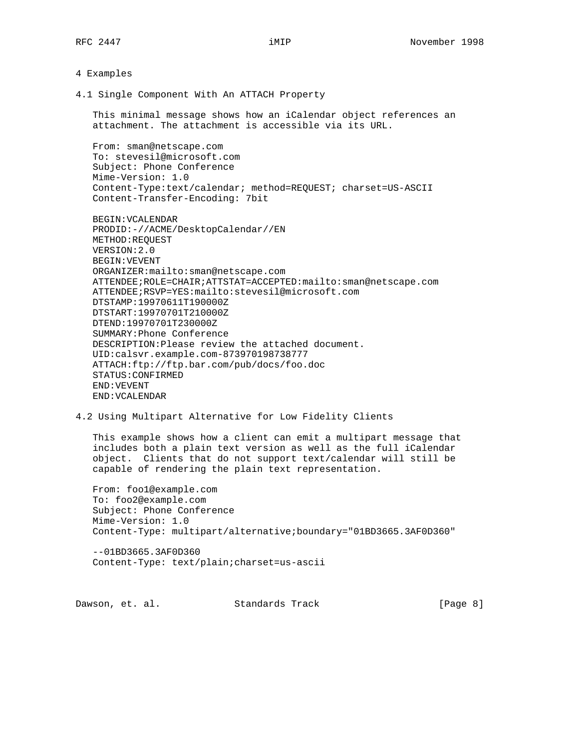### 4 Examples

4.1 Single Component With An ATTACH Property

 This minimal message shows how an iCalendar object references an attachment. The attachment is accessible via its URL.

 From: sman@netscape.com To: stevesil@microsoft.com Subject: Phone Conference Mime-Version: 1.0 Content-Type:text/calendar; method=REQUEST; charset=US-ASCII Content-Transfer-Encoding: 7bit

 BEGIN:VCALENDAR PRODID:-//ACME/DesktopCalendar//EN METHOD:REQUEST VERSION:2.0 BEGIN:VEVENT ORGANIZER:mailto:sman@netscape.com ATTENDEE;ROLE=CHAIR;ATTSTAT=ACCEPTED:mailto:sman@netscape.com ATTENDEE;RSVP=YES:mailto:stevesil@microsoft.com DTSTAMP:19970611T190000Z DTSTART:19970701T210000Z DTEND:19970701T230000Z SUMMARY:Phone Conference DESCRIPTION:Please review the attached document. UID:calsvr.example.com-873970198738777 ATTACH:ftp://ftp.bar.com/pub/docs/foo.doc STATUS:CONFIRMED END:VEVENT END:VCALENDAR

## 4.2 Using Multipart Alternative for Low Fidelity Clients

 This example shows how a client can emit a multipart message that includes both a plain text version as well as the full iCalendar object. Clients that do not support text/calendar will still be capable of rendering the plain text representation.

 From: foo1@example.com To: foo2@example.com Subject: Phone Conference Mime-Version: 1.0 Content-Type: multipart/alternative;boundary="01BD3665.3AF0D360"

 --01BD3665.3AF0D360 Content-Type: text/plain;charset=us-ascii

Dawson, et. al. Standards Track [Page 8]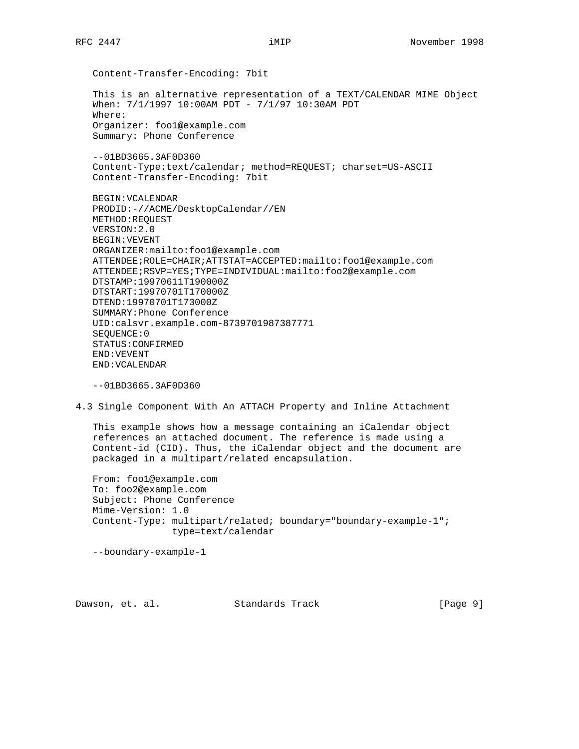Content-Transfer-Encoding: 7bit This is an alternative representation of a TEXT/CALENDAR MIME Object When: 7/1/1997 10:00AM PDT - 7/1/97 10:30AM PDT Where: Organizer: foo1@example.com Summary: Phone Conference --01BD3665.3AF0D360 Content-Type:text/calendar; method=REQUEST; charset=US-ASCII Content-Transfer-Encoding: 7bit BEGIN:VCALENDAR

 PRODID:-//ACME/DesktopCalendar//EN METHOD:REQUEST VERSION:2.0 BEGIN:VEVENT ORGANIZER:mailto:foo1@example.com ATTENDEE;ROLE=CHAIR;ATTSTAT=ACCEPTED:mailto:foo1@example.com ATTENDEE;RSVP=YES;TYPE=INDIVIDUAL:mailto:foo2@example.com DTSTAMP:19970611T190000Z DTSTART:19970701T170000Z DTEND:19970701T173000Z SUMMARY:Phone Conference UID:calsvr.example.com-8739701987387771 SEQUENCE:0 STATUS:CONFIRMED END:VEVENT END:VCALENDAR

--01BD3665.3AF0D360

4.3 Single Component With An ATTACH Property and Inline Attachment

 This example shows how a message containing an iCalendar object references an attached document. The reference is made using a Content-id (CID). Thus, the iCalendar object and the document are packaged in a multipart/related encapsulation.

 From: foo1@example.com To: foo2@example.com Subject: Phone Conference Mime-Version: 1.0 Content-Type: multipart/related; boundary="boundary-example-1"; type=text/calendar

--boundary-example-1

Dawson, et. al. Standards Track [Page 9]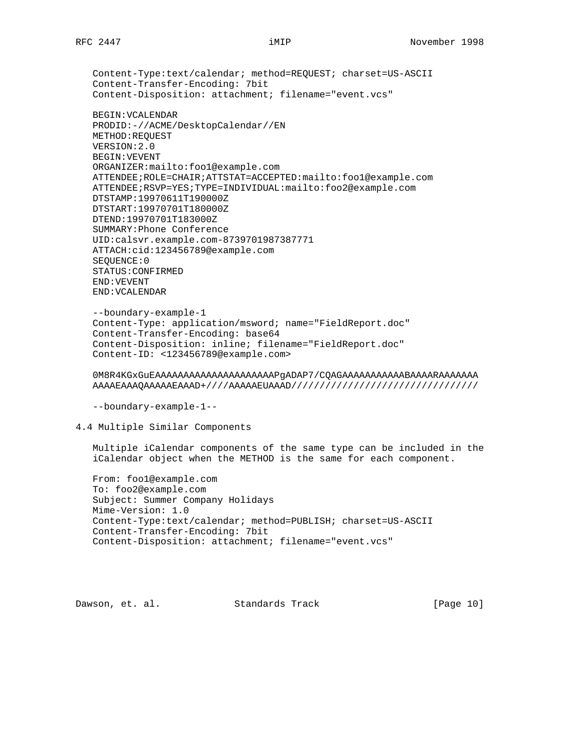Content-Type:text/calendar; method=REQUEST; charset=US-ASCII Content-Transfer-Encoding: 7bit Content-Disposition: attachment; filename="event.vcs" BEGIN:VCALENDAR PRODID:-//ACME/DesktopCalendar//EN METHOD:REQUEST VERSION:2.0 BEGIN:VEVENT ORGANIZER:mailto:foo1@example.com ATTENDEE;ROLE=CHAIR;ATTSTAT=ACCEPTED:mailto:foo1@example.com ATTENDEE;RSVP=YES;TYPE=INDIVIDUAL:mailto:foo2@example.com DTSTAMP:19970611T190000Z DTSTART:19970701T180000Z DTEND:19970701T183000Z SUMMARY:Phone Conference UID:calsvr.example.com-8739701987387771 ATTACH:cid:123456789@example.com SEQUENCE:0 STATUS:CONFIRMED END:VEVENT END:VCALENDAR

```
 --boundary-example-1
Content-Type: application/msword; name="FieldReport.doc"
Content-Transfer-Encoding: base64
Content-Disposition: inline; filename="FieldReport.doc"
Content-ID: <123456789@example.com>
```
 0M8R4KGxGuEAAAAAAAAAAAAAAAAAAAAAPgADAP7/CQAGAAAAAAAAAAABAAAARAAAAAAA AAAAEAAAQAAAAAEAAAD+////AAAAAEUAAAD/////////////////////////////////

--boundary-example-1--

## 4.4 Multiple Similar Components

 Multiple iCalendar components of the same type can be included in the iCalendar object when the METHOD is the same for each component.

 From: foo1@example.com To: foo2@example.com Subject: Summer Company Holidays Mime-Version: 1.0 Content-Type:text/calendar; method=PUBLISH; charset=US-ASCII Content-Transfer-Encoding: 7bit Content-Disposition: attachment; filename="event.vcs"

Dawson, et. al. Standards Track [Page 10]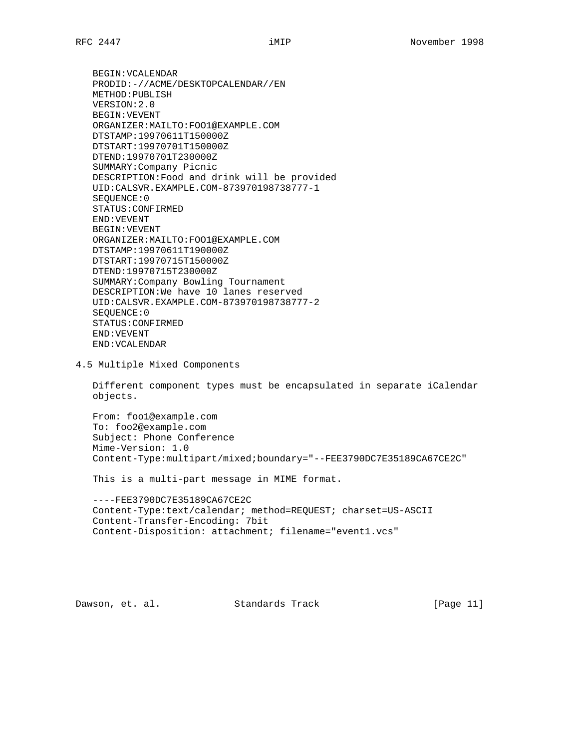BEGIN:VCALENDAR PRODID:-//ACME/DESKTOPCALENDAR//EN METHOD:PUBLISH VERSION:2.0 BEGIN:VEVENT ORGANIZER:MAILTO:FOO1@EXAMPLE.COM DTSTAMP:19970611T150000Z DTSTART:19970701T150000Z DTEND:19970701T230000Z SUMMARY:Company Picnic DESCRIPTION:Food and drink will be provided UID:CALSVR.EXAMPLE.COM-873970198738777-1 SEQUENCE:0 STATUS:CONFIRMED END:VEVENT BEGIN:VEVENT ORGANIZER:MAILTO:FOO1@EXAMPLE.COM DTSTAMP:19970611T190000Z DTSTART:19970715T150000Z DTEND:19970715T230000Z SUMMARY:Company Bowling Tournament DESCRIPTION:We have 10 lanes reserved UID:CALSVR.EXAMPLE.COM-873970198738777-2 SEQUENCE:0 STATUS:CONFIRMED END:VEVENT END:VCALENDAR

4.5 Multiple Mixed Components

 Different component types must be encapsulated in separate iCalendar objects.

 From: foo1@example.com To: foo2@example.com Subject: Phone Conference Mime-Version: 1.0 Content-Type:multipart/mixed;boundary="--FEE3790DC7E35189CA67CE2C"

This is a multi-part message in MIME format.

 ----FEE3790DC7E35189CA67CE2C Content-Type:text/calendar; method=REQUEST; charset=US-ASCII Content-Transfer-Encoding: 7bit Content-Disposition: attachment; filename="event1.vcs"

Dawson, et. al. Standards Track [Page 11]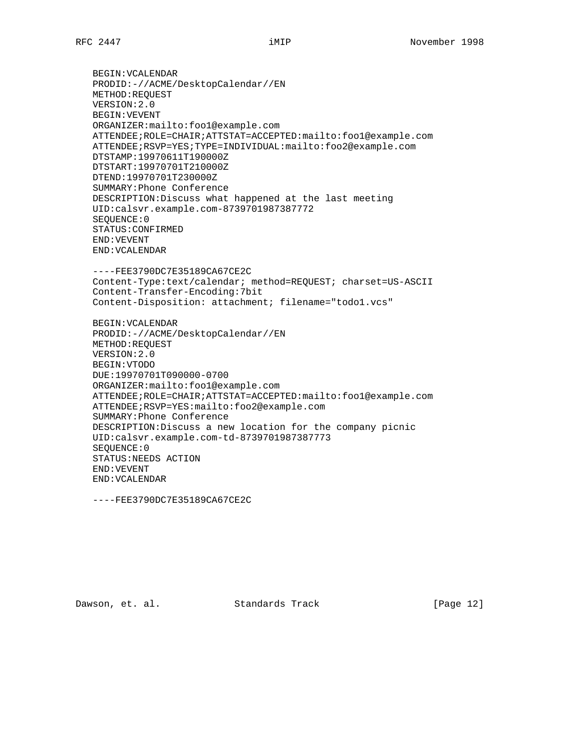BEGIN:VCALENDAR PRODID:-//ACME/DesktopCalendar//EN METHOD:REQUEST VERSION:2.0 BEGIN:VEVENT ORGANIZER:mailto:foo1@example.com ATTENDEE;ROLE=CHAIR;ATTSTAT=ACCEPTED:mailto:foo1@example.com ATTENDEE;RSVP=YES;TYPE=INDIVIDUAL:mailto:foo2@example.com DTSTAMP:19970611T190000Z DTSTART:19970701T210000Z DTEND:19970701T230000Z SUMMARY:Phone Conference DESCRIPTION:Discuss what happened at the last meeting UID:calsvr.example.com-8739701987387772 SEQUENCE:0 STATUS:CONFIRMED END:VEVENT END:VCALENDAR

 ----FEE3790DC7E35189CA67CE2C Content-Type:text/calendar; method=REQUEST; charset=US-ASCII Content-Transfer-Encoding:7bit Content-Disposition: attachment; filename="todo1.vcs"

 BEGIN:VCALENDAR PRODID:-//ACME/DesktopCalendar//EN METHOD:REQUEST VERSION:2.0 BEGIN:VTODO DUE:19970701T090000-0700 ORGANIZER:mailto:foo1@example.com ATTENDEE;ROLE=CHAIR;ATTSTAT=ACCEPTED:mailto:foo1@example.com ATTENDEE;RSVP=YES:mailto:foo2@example.com SUMMARY:Phone Conference DESCRIPTION:Discuss a new location for the company picnic UID:calsvr.example.com-td-8739701987387773 SEQUENCE:0 STATUS:NEEDS ACTION END:VEVENT END:VCALENDAR

----FEE3790DC7E35189CA67CE2C

Dawson, et. al. Standards Track [Page 12]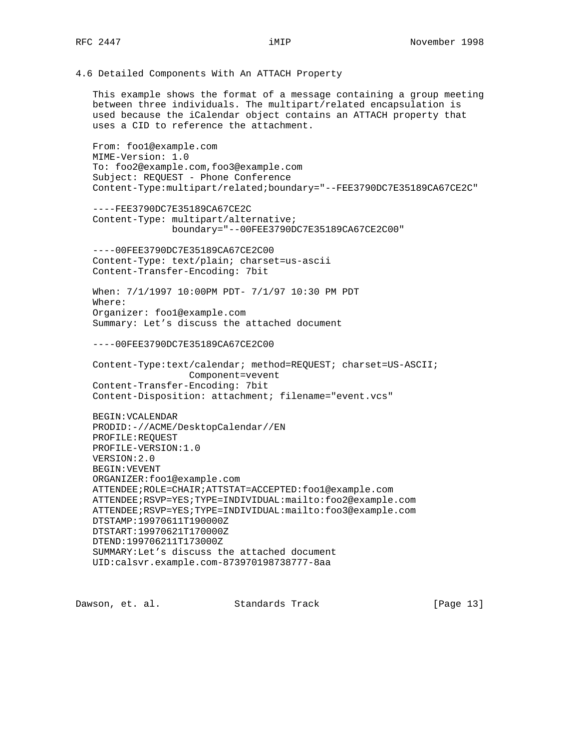4.6 Detailed Components With An ATTACH Property

 This example shows the format of a message containing a group meeting between three individuals. The multipart/related encapsulation is used because the iCalendar object contains an ATTACH property that uses a CID to reference the attachment.

 From: foo1@example.com MIME-Version: 1.0 To: foo2@example.com,foo3@example.com Subject: REQUEST - Phone Conference Content-Type:multipart/related;boundary="--FEE3790DC7E35189CA67CE2C"

 ----FEE3790DC7E35189CA67CE2C Content-Type: multipart/alternative; boundary="--00FEE3790DC7E35189CA67CE2C00"

 ----00FEE3790DC7E35189CA67CE2C00 Content-Type: text/plain; charset=us-ascii Content-Transfer-Encoding: 7bit

 When: 7/1/1997 10:00PM PDT- 7/1/97 10:30 PM PDT Where: Organizer: foo1@example.com Summary: Let's discuss the attached document

----00FEE3790DC7E35189CA67CE2C00

 Content-Type:text/calendar; method=REQUEST; charset=US-ASCII; Component=vevent Content-Transfer-Encoding: 7bit Content-Disposition: attachment; filename="event.vcs"

 BEGIN:VCALENDAR PRODID:-//ACME/DesktopCalendar//EN PROFILE:REQUEST PROFILE-VERSION:1.0 VERSION:2.0 BEGIN:VEVENT ORGANIZER:foo1@example.com ATTENDEE;ROLE=CHAIR;ATTSTAT=ACCEPTED:foo1@example.com ATTENDEE;RSVP=YES;TYPE=INDIVIDUAL:mailto:foo2@example.com ATTENDEE;RSVP=YES;TYPE=INDIVIDUAL:mailto:foo3@example.com DTSTAMP:19970611T190000Z DTSTART:19970621T170000Z DTEND:199706211T173000Z SUMMARY:Let's discuss the attached document UID:calsvr.example.com-873970198738777-8aa

Dawson, et. al. Standards Track [Page 13]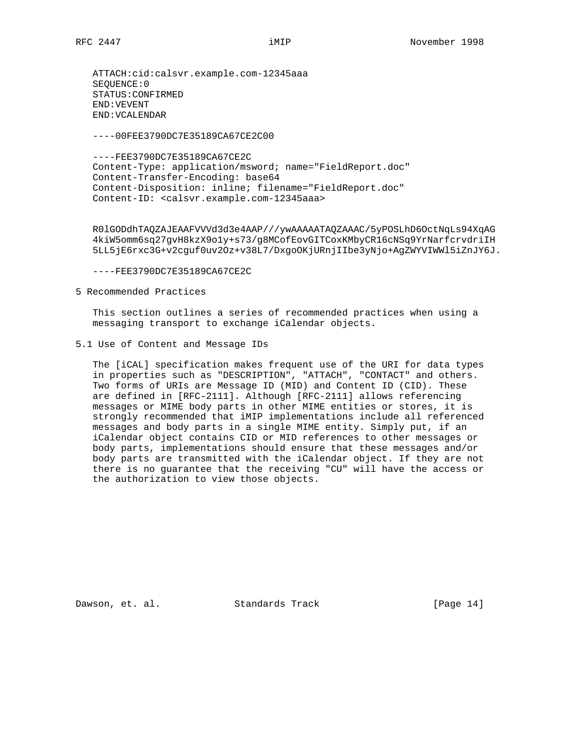----00FEE3790DC7E35189CA67CE2C00

 ----FEE3790DC7E35189CA67CE2C Content-Type: application/msword; name="FieldReport.doc" Content-Transfer-Encoding: base64 Content-Disposition: inline; filename="FieldReport.doc" Content-ID: <calsvr.example.com-12345aaa>

 R0lGODdhTAQZAJEAAFVVVd3d3e4AAP///ywAAAAATAQZAAAC/5yPOSLhD6OctNqLs94XqAG 4kiW5omm6sq27gvH8kzX9o1y+s73/g8MCofEovGITCoxKMbyCR16cNSq9YrNarfcrvdriIH 5LL5jE6rxc3G+v2cguf0uv2Oz+v38L7/DxgoOKjURnjIIbe3yNjo+AgZWYVIWWl5iZnJY6J.

----FEE3790DC7E35189CA67CE2C

#### 5 Recommended Practices

 This section outlines a series of recommended practices when using a messaging transport to exchange iCalendar objects.

5.1 Use of Content and Message IDs

 The [iCAL] specification makes frequent use of the URI for data types in properties such as "DESCRIPTION", "ATTACH", "CONTACT" and others. Two forms of URIs are Message ID (MID) and Content ID (CID). These are defined in [RFC-2111]. Although [RFC-2111] allows referencing messages or MIME body parts in other MIME entities or stores, it is strongly recommended that iMIP implementations include all referenced messages and body parts in a single MIME entity. Simply put, if an iCalendar object contains CID or MID references to other messages or body parts, implementations should ensure that these messages and/or body parts are transmitted with the iCalendar object. If they are not there is no guarantee that the receiving "CU" will have the access or the authorization to view those objects.

Dawson, et. al. Standards Track [Page 14]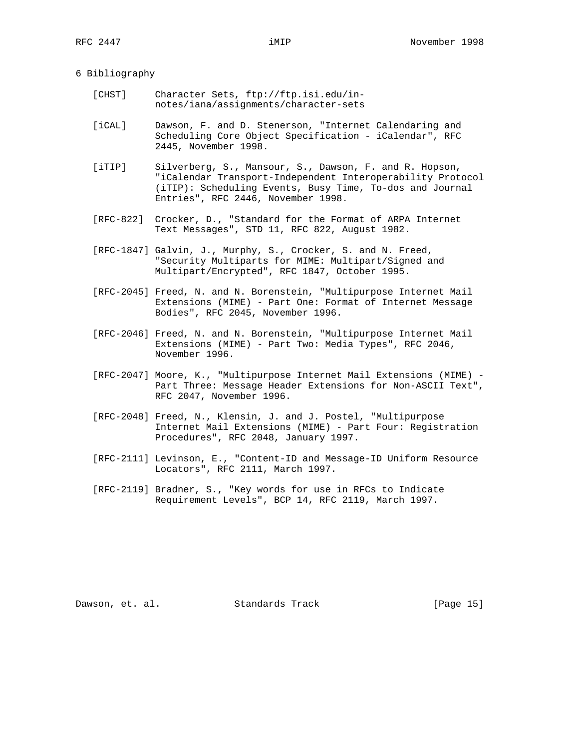## 6 Bibliography

- [CHST] Character Sets, ftp://ftp.isi.edu/in notes/iana/assignments/character-sets
- [iCAL] Dawson, F. and D. Stenerson, "Internet Calendaring and Scheduling Core Object Specification - iCalendar", RFC 2445, November 1998.
- [iTIP] Silverberg, S., Mansour, S., Dawson, F. and R. Hopson, "iCalendar Transport-Independent Interoperability Protocol (iTIP): Scheduling Events, Busy Time, To-dos and Journal Entries", RFC 2446, November 1998.
- [RFC-822] Crocker, D., "Standard for the Format of ARPA Internet Text Messages", STD 11, RFC 822, August 1982.
- [RFC-1847] Galvin, J., Murphy, S., Crocker, S. and N. Freed, "Security Multiparts for MIME: Multipart/Signed and Multipart/Encrypted", RFC 1847, October 1995.
- [RFC-2045] Freed, N. and N. Borenstein, "Multipurpose Internet Mail Extensions (MIME) - Part One: Format of Internet Message Bodies", RFC 2045, November 1996.
- [RFC-2046] Freed, N. and N. Borenstein, "Multipurpose Internet Mail Extensions (MIME) - Part Two: Media Types", RFC 2046, November 1996.
- [RFC-2047] Moore, K., "Multipurpose Internet Mail Extensions (MIME) Part Three: Message Header Extensions for Non-ASCII Text", RFC 2047, November 1996.
- [RFC-2048] Freed, N., Klensin, J. and J. Postel, "Multipurpose Internet Mail Extensions (MIME) - Part Four: Registration Procedures", RFC 2048, January 1997.
- [RFC-2111] Levinson, E., "Content-ID and Message-ID Uniform Resource Locators", RFC 2111, March 1997.
- [RFC-2119] Bradner, S., "Key words for use in RFCs to Indicate Requirement Levels", BCP 14, RFC 2119, March 1997.

Dawson, et. al. Standards Track [Page 15]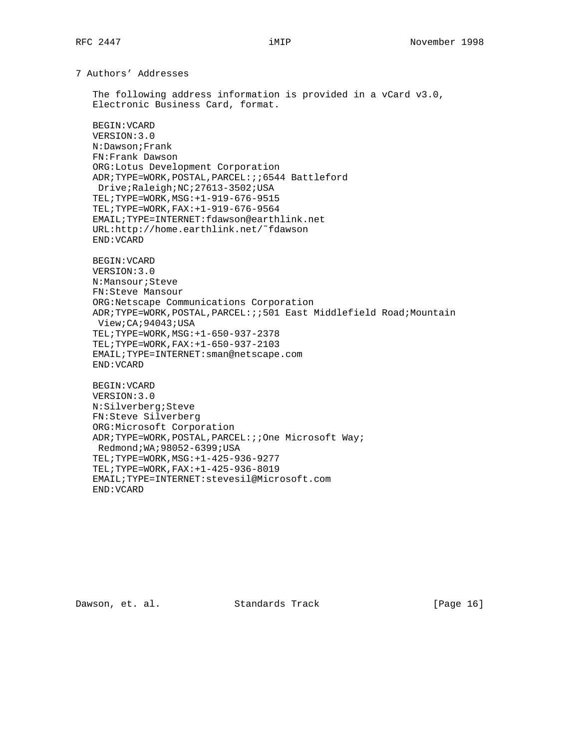7 Authors' Addresses

 The following address information is provided in a vCard v3.0, Electronic Business Card, format.

BEGIN:VCARD

 VERSION:3.0 N:Dawson;Frank FN:Frank Dawson ORG:Lotus Development Corporation ADR;TYPE=WORK,POSTAL,PARCEL:;;6544 Battleford Drive;Raleigh;NC;27613-3502;USA TEL;TYPE=WORK,MSG:+1-919-676-9515 TEL;TYPE=WORK,FAX:+1-919-676-9564 EMAIL;TYPE=INTERNET:fdawson@earthlink.net URL:http://home.earthlink.net/˜fdawson END:VCARD

 BEGIN:VCARD VERSION:3.0 N:Mansour;Steve FN:Steve Mansour ORG:Netscape Communications Corporation ADR;TYPE=WORK,POSTAL,PARCEL:;;501 East Middlefield Road;Mountain View;CA;94043;USA TEL;TYPE=WORK,MSG:+1-650-937-2378 TEL;TYPE=WORK,FAX:+1-650-937-2103 EMAIL;TYPE=INTERNET:sman@netscape.com END:VCARD

 BEGIN:VCARD VERSION:3.0 N:Silverberg;Steve FN:Steve Silverberg ORG:Microsoft Corporation ADR;TYPE=WORK,POSTAL,PARCEL:;;One Microsoft Way; Redmond;WA;98052-6399;USA TEL;TYPE=WORK,MSG:+1-425-936-9277 TEL;TYPE=WORK,FAX:+1-425-936-8019 EMAIL;TYPE=INTERNET:stevesil@Microsoft.com END:VCARD

Dawson, et. al. Standards Track [Page 16]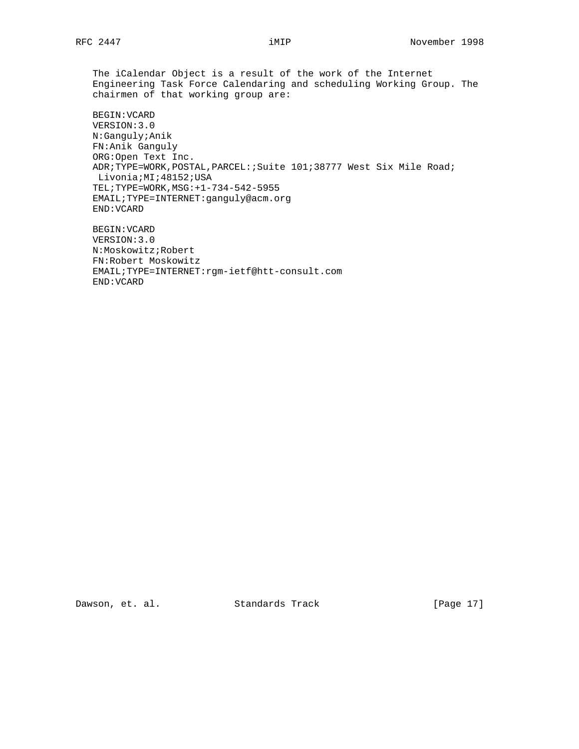The iCalendar Object is a result of the work of the Internet Engineering Task Force Calendaring and scheduling Working Group. The chairmen of that working group are:

 BEGIN:VCARD VERSION:3.0 N:Ganguly;Anik FN:Anik Ganguly ORG:Open Text Inc. ADR;TYPE=WORK,POSTAL,PARCEL:;Suite 101;38777 West Six Mile Road; Livonia;MI;48152;USA TEL;TYPE=WORK,MSG:+1-734-542-5955 EMAIL;TYPE=INTERNET:ganguly@acm.org END:VCARD

 BEGIN:VCARD VERSION:3.0 N:Moskowitz;Robert FN:Robert Moskowitz EMAIL;TYPE=INTERNET:rgm-ietf@htt-consult.com END:VCARD

Dawson, et. al. Standards Track [Page 17]